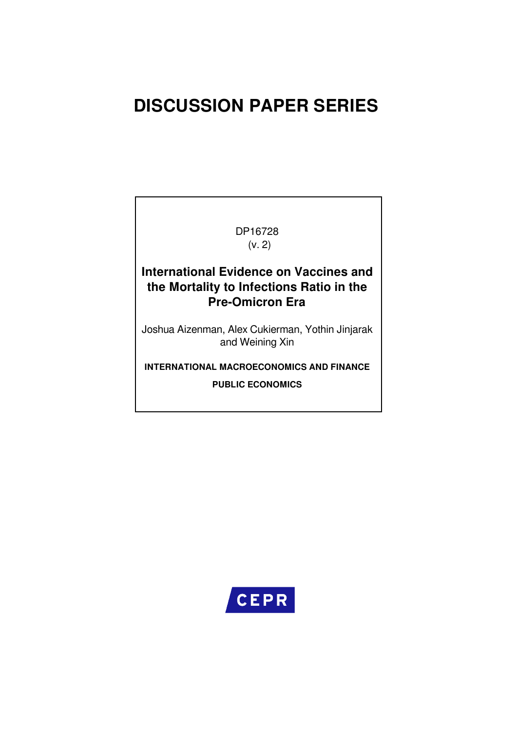# **DISCUSSION PAPER SERIES**

DP16728 (v. 2)

# **International Evidence on Vaccines and the Mortality to Infections Ratio in the Pre-Omicron Era**

Joshua Aizenman, Alex Cukierman, Yothin Jinjarak and Weining Xin

**INTERNATIONAL MACROECONOMICS AND FINANCE**

**PUBLIC ECONOMICS**

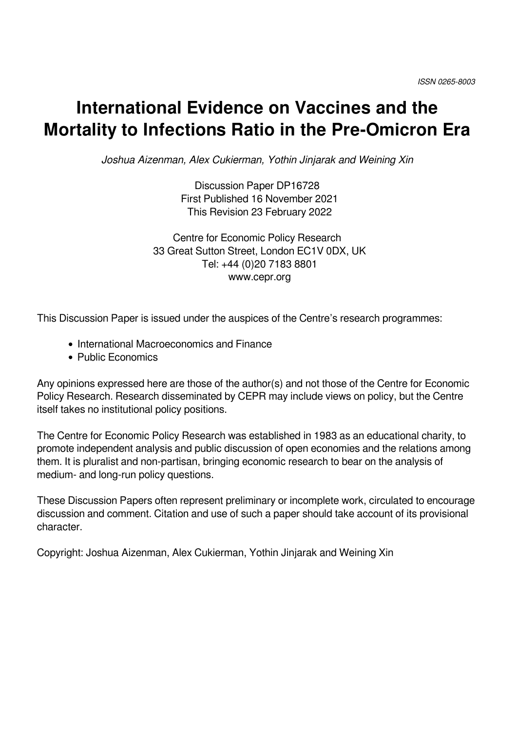# **International Evidence on Vaccines and the Mortality to Infections Ratio in the Pre-Omicron Era**

*Joshua Aizenman, Alex Cukierman, Yothin Jinjarak and Weining Xin*

Discussion Paper DP16728 First Published 16 November 2021 This Revision 23 February 2022

Centre for Economic Policy Research 33 Great Sutton Street, London EC1V 0DX, UK Tel: +44 (0)20 7183 8801 www.cepr.org

This Discussion Paper is issued under the auspices of the Centre's research programmes:

- International Macroeconomics and Finance
- Public Economics

Any opinions expressed here are those of the author(s) and not those of the Centre for Economic Policy Research. Research disseminated by CEPR may include views on policy, but the Centre itself takes no institutional policy positions.

The Centre for Economic Policy Research was established in 1983 as an educational charity, to promote independent analysis and public discussion of open economies and the relations among them. It is pluralist and non-partisan, bringing economic research to bear on the analysis of medium- and long-run policy questions.

These Discussion Papers often represent preliminary or incomplete work, circulated to encourage discussion and comment. Citation and use of such a paper should take account of its provisional character.

Copyright: Joshua Aizenman, Alex Cukierman, Yothin Jinjarak and Weining Xin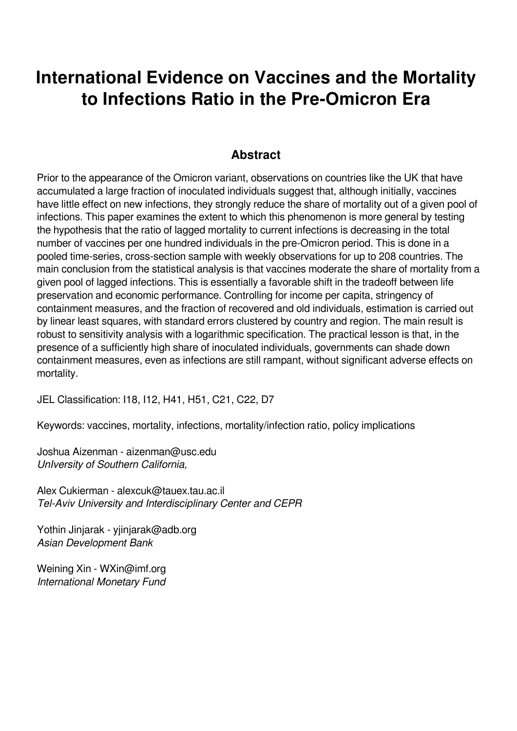# **International Evidence on Vaccines and the Mortality to Infections Ratio in the Pre-Omicron Era**

## **Abstract**

Prior to the appearance of the Omicron variant, observations on countries like the UK that have accumulated a large fraction of inoculated individuals suggest that, although initially, vaccines have little effect on new infections, they strongly reduce the share of mortality out of a given pool of infections. This paper examines the extent to which this phenomenon is more general by testing the hypothesis that the ratio of lagged mortality to current infections is decreasing in the total number of vaccines per one hundred individuals in the pre-Omicron period. This is done in a pooled time-series, cross-section sample with weekly observations for up to 208 countries. The main conclusion from the statistical analysis is that vaccines moderate the share of mortality from a given pool of lagged infections. This is essentially a favorable shift in the tradeoff between life preservation and economic performance. Controlling for income per capita, stringency of containment measures, and the fraction of recovered and old individuals, estimation is carried out by linear least squares, with standard errors clustered by country and region. The main result is robust to sensitivity analysis with a logarithmic specification. The practical lesson is that, in the presence of a sufficiently high share of inoculated individuals, governments can shade down containment measures, even as infections are still rampant, without significant adverse effects on mortality.

JEL Classification: I18, I12, H41, H51, C21, C22, D7

Keywords: vaccines, mortality, infections, mortality/infection ratio, policy implications

Joshua Aizenman - aizenman@usc.edu *UnIversity of Southern California,* 

Alex Cukierman - alexcuk@tauex.tau.ac.il *Tel-Aviv University and Interdisciplinary Center and CEPR*

Yothin Jinjarak - yjinjarak@adb.org *Asian Development Bank*

Weining Xin - WXin@imf.org *International Monetary Fund*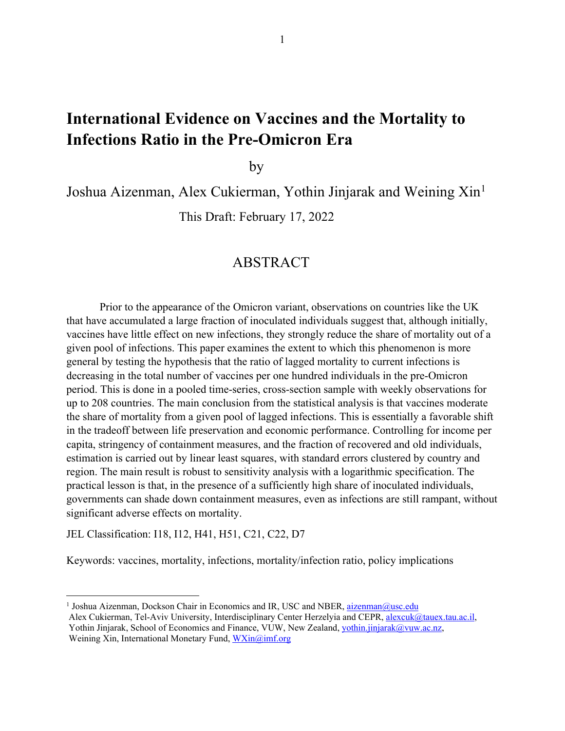# **International Evidence on Vaccines and the Mortality to Infections Ratio in the Pre-Omicron Era**

by

Joshua Aizenman, Alex Cukierman, Yothin Jinjarak and Weining Xin<sup>1</sup>

This Draft: February 17, 2022

## ABSTRACT

Prior to the appearance of the Omicron variant, observations on countries like the UK that have accumulated a large fraction of inoculated individuals suggest that, although initially, vaccines have little effect on new infections, they strongly reduce the share of mortality out of a given pool of infections. This paper examines the extent to which this phenomenon is more general by testing the hypothesis that the ratio of lagged mortality to current infections is decreasing in the total number of vaccines per one hundred individuals in the pre-Omicron period. This is done in a pooled time-series, cross-section sample with weekly observations for up to 208 countries. The main conclusion from the statistical analysis is that vaccines moderate the share of mortality from a given pool of lagged infections. This is essentially a favorable shift in the tradeoff between life preservation and economic performance. Controlling for income per capita, stringency of containment measures, and the fraction of recovered and old individuals, estimation is carried out by linear least squares, with standard errors clustered by country and region. The main result is robust to sensitivity analysis with a logarithmic specification. The practical lesson is that, in the presence of a sufficiently high share of inoculated individuals, governments can shade down containment measures, even as infections are still rampant, without significant adverse effects on mortality.

JEL Classification: I18, I12, H41, H51, C21, C22, D7

Keywords: vaccines, mortality, infections, mortality/infection ratio, policy implications

<sup>&</sup>lt;sup>1</sup> Joshua Aizenman, Dockson Chair in Economics and IR, USC and NBER, aizenman@usc.edu Alex Cukierman, Tel-Aviv University, Interdisciplinary Center Herzelyia and CEPR, alexcuk@tauex.tau.ac.il, Yothin Jinjarak, School of Economics and Finance, VUW, New Zealand, yothin.jinjarak@vuw.ac.nz, Weining Xin, International Monetary Fund, WXin@imf.org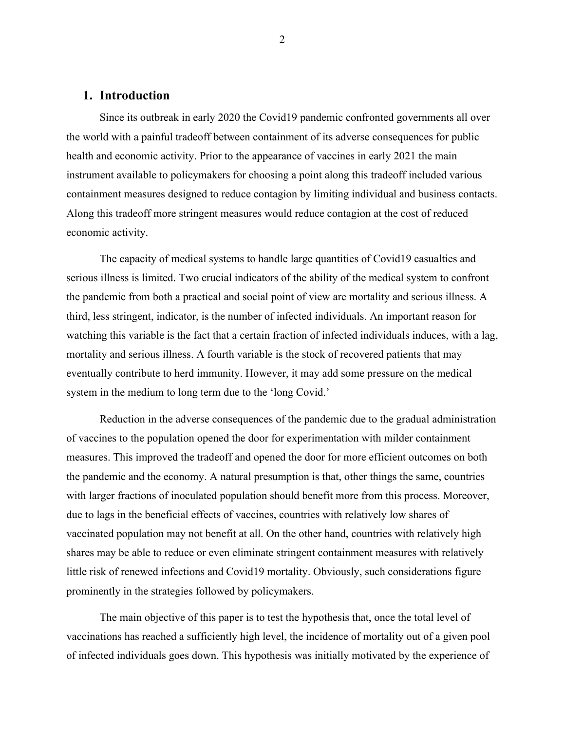#### **1. Introduction**

Since its outbreak in early 2020 the Covid19 pandemic confronted governments all over the world with a painful tradeoff between containment of its adverse consequences for public health and economic activity. Prior to the appearance of vaccines in early 2021 the main instrument available to policymakers for choosing a point along this tradeoff included various containment measures designed to reduce contagion by limiting individual and business contacts. Along this tradeoff more stringent measures would reduce contagion at the cost of reduced economic activity.

The capacity of medical systems to handle large quantities of Covid19 casualties and serious illness is limited. Two crucial indicators of the ability of the medical system to confront the pandemic from both a practical and social point of view are mortality and serious illness. A third, less stringent, indicator, is the number of infected individuals. An important reason for watching this variable is the fact that a certain fraction of infected individuals induces, with a lag, mortality and serious illness. A fourth variable is the stock of recovered patients that may eventually contribute to herd immunity. However, it may add some pressure on the medical system in the medium to long term due to the 'long Covid.'

Reduction in the adverse consequences of the pandemic due to the gradual administration of vaccines to the population opened the door for experimentation with milder containment measures. This improved the tradeoff and opened the door for more efficient outcomes on both the pandemic and the economy. A natural presumption is that, other things the same, countries with larger fractions of inoculated population should benefit more from this process. Moreover, due to lags in the beneficial effects of vaccines, countries with relatively low shares of vaccinated population may not benefit at all. On the other hand, countries with relatively high shares may be able to reduce or even eliminate stringent containment measures with relatively little risk of renewed infections and Covid19 mortality. Obviously, such considerations figure prominently in the strategies followed by policymakers.

The main objective of this paper is to test the hypothesis that, once the total level of vaccinations has reached a sufficiently high level, the incidence of mortality out of a given pool of infected individuals goes down. This hypothesis was initially motivated by the experience of

2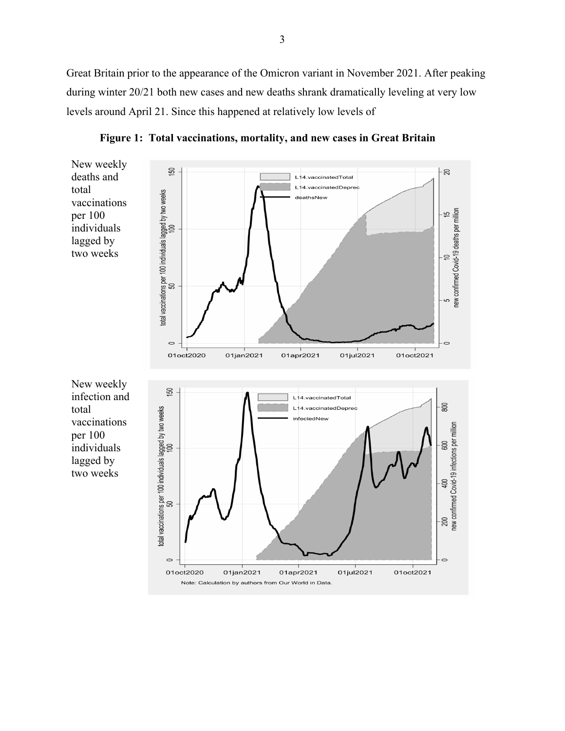Great Britain prior to the appearance of the Omicron variant in November 2021. After peaking during winter 20/21 both new cases and new deaths shrank dramatically leveling at very low levels around April 21. Since this happened at relatively low levels of



**Figure 1: Total vaccinations, mortality, and new cases in Great Britain**

Note: Calculation by authors from Our World in Data.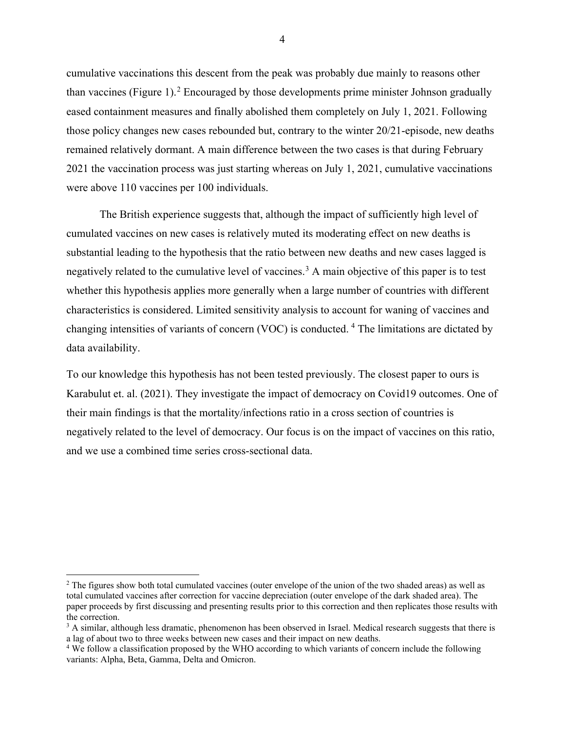cumulative vaccinations this descent from the peak was probably due mainly to reasons other than vaccines (Figure 1).<sup>2</sup> Encouraged by those developments prime minister Johnson gradually eased containment measures and finally abolished them completely on July 1, 2021. Following those policy changes new cases rebounded but, contrary to the winter 20/21-episode, new deaths remained relatively dormant. A main difference between the two cases is that during February 2021 the vaccination process was just starting whereas on July 1, 2021, cumulative vaccinations were above 110 vaccines per 100 individuals.

The British experience suggests that, although the impact of sufficiently high level of cumulated vaccines on new cases is relatively muted its moderating effect on new deaths is substantial leading to the hypothesis that the ratio between new deaths and new cases lagged is negatively related to the cumulative level of vaccines.<sup>3</sup> A main objective of this paper is to test whether this hypothesis applies more generally when a large number of countries with different characteristics is considered. Limited sensitivity analysis to account for waning of vaccines and changing intensities of variants of concern (VOC) is conducted. <sup>4</sup> The limitations are dictated by data availability.

To our knowledge this hypothesis has not been tested previously. The closest paper to ours is Karabulut et. al. (2021). They investigate the impact of democracy on Covid19 outcomes. One of their main findings is that the mortality/infections ratio in a cross section of countries is negatively related to the level of democracy. Our focus is on the impact of vaccines on this ratio, and we use a combined time series cross-sectional data.

 $2$  The figures show both total cumulated vaccines (outer envelope of the union of the two shaded areas) as well as total cumulated vaccines after correction for vaccine depreciation (outer envelope of the dark shaded area). The paper proceeds by first discussing and presenting results prior to this correction and then replicates those results with the correction.

<sup>&</sup>lt;sup>3</sup> A similar, although less dramatic, phenomenon has been observed in Israel. Medical research suggests that there is a lag of about two to three weeks between new cases and their impact on new deaths.

<sup>&</sup>lt;sup>4</sup> We follow a classification proposed by the WHO according to which variants of concern include the following variants: Alpha, Beta, Gamma, Delta and Omicron.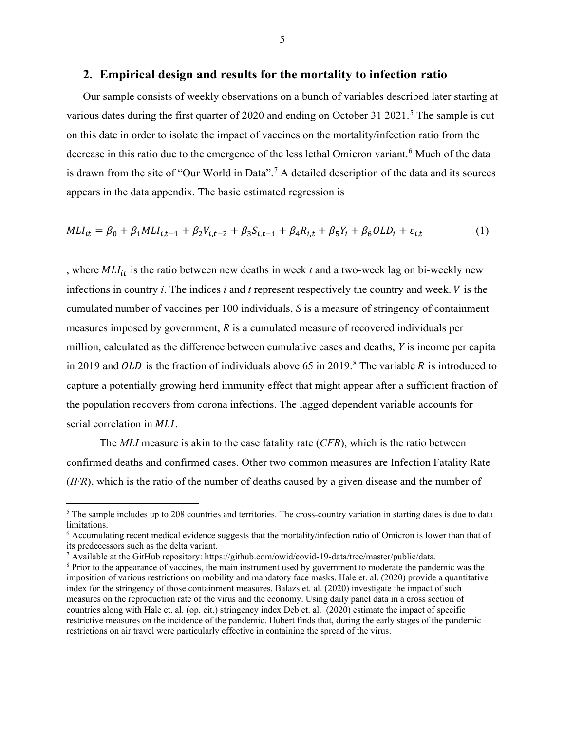#### **2. Empirical design and results for the mortality to infection ratio**

Our sample consists of weekly observations on a bunch of variables described later starting at various dates during the first quarter of 2020 and ending on October 31 2021.<sup>5</sup> The sample is cut on this date in order to isolate the impact of vaccines on the mortality/infection ratio from the decrease in this ratio due to the emergence of the less lethal Omicron variant.<sup>6</sup> Much of the data is drawn from the site of "Our World in Data".<sup>7</sup> A detailed description of the data and its sources appears in the data appendix. The basic estimated regression is

$$
MLI_{it} = \beta_0 + \beta_1 MLI_{i,t-1} + \beta_2 V_{i,t-2} + \beta_3 S_{i,t-1} + \beta_4 R_{i,t} + \beta_5 Y_i + \beta_6 OLD_i + \varepsilon_{i,t}
$$
(1)

, where  $MLI_{it}$  is the ratio between new deaths in week  $t$  and a two-week lag on bi-weekly new infections in country  $i$ . The indices  $i$  and  $t$  represent respectively the country and week.  $V$  is the cumulated number of vaccines per 100 individuals, *S* is a measure of stringency of containment measures imposed by government, *R* is a cumulated measure of recovered individuals per million, calculated as the difference between cumulative cases and deaths, *Y* is income per capita in 2019 and OLD is the fraction of individuals above 65 in 2019.<sup>8</sup> The variable R is introduced to capture a potentially growing herd immunity effect that might appear after a sufficient fraction of the population recovers from corona infections. The lagged dependent variable accounts for serial correlation in *MLI*.

The *MLI* measure is akin to the case fatality rate (*CFR*), which is the ratio between confirmed deaths and confirmed cases. Other two common measures are Infection Fatality Rate (*IFR*), which is the ratio of the number of deaths caused by a given disease and the number of

<sup>&</sup>lt;sup>5</sup> The sample includes up to 208 countries and territories. The cross-country variation in starting dates is due to data limitations.

<sup>6</sup> Accumulating recent medical evidence suggests that the mortality/infection ratio of Omicron is lower than that of its predecessors such as the delta variant.

<sup>7</sup> Available at the GitHub repository: https://github.com/owid/covid-19-data/tree/master/public/data.

<sup>8</sup> Prior to the appearance of vaccines, the main instrument used by government to moderate the pandemic was the imposition of various restrictions on mobility and mandatory face masks. Hale et. al. (2020) provide a quantitative index for the stringency of those containment measures. Balazs et. al. (2020) investigate the impact of such measures on the reproduction rate of the virus and the economy. Using daily panel data in a cross section of countries along with Hale et. al. (op. cit.) stringency index Deb et. al. (2020) estimate the impact of specific restrictive measures on the incidence of the pandemic. Hubert finds that, during the early stages of the pandemic restrictions on air travel were particularly effective in containing the spread of the virus.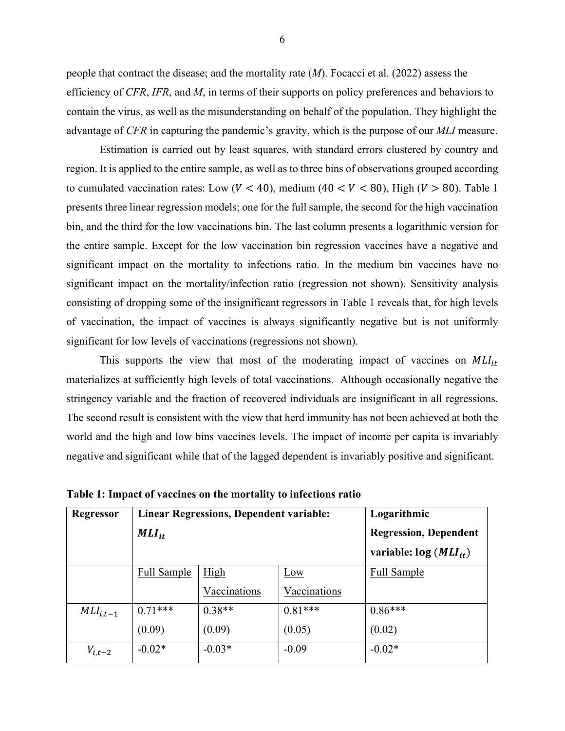people that contract the disease; and the mortality rate (*M*). Focacci et al. (2022) assess the efficiency of *CFR*, *IFR*, and *M*, in terms of their supports on policy preferences and behaviors to contain the virus, as well as the misunderstanding on behalf of the population. They highlight the advantage of *CFR* in capturing the pandemic's gravity, which is the purpose of our *MLI* measure.

Estimation is carried out by least squares, with standard errors clustered by country and region. It is applied to the entire sample, as well as to three bins of observations grouped according to cumulated vaccination rates: Low ( $V < 40$ ), medium ( $40 < V < 80$ ), High ( $V > 80$ ). Table 1 presents three linear regression models; one for the full sample, the second for the high vaccination bin, and the third for the low vaccinations bin. The last column presents a logarithmic version for the entire sample. Except for the low vaccination bin regression vaccines have a negative and significant impact on the mortality to infections ratio. In the medium bin vaccines have no significant impact on the mortality/infection ratio (regression not shown). Sensitivity analysis consisting of dropping some of the insignificant regressors in Table 1 reveals that, for high levels of vaccination, the impact of vaccines is always significantly negative but is not uniformly significant for low levels of vaccinations (regressions not shown).

This supports the view that most of the moderating impact of vaccines on  $MLI_{it}$ materializes at sufficiently high levels of total vaccinations. Although occasionally negative the stringency variable and the fraction of recovered individuals are insignificant in all regressions. The second result is consistent with the view that herd immunity has not been achieved at both the world and the high and low bins vaccines levels. The impact of income per capita is invariably negative and significant while that of the lagged dependent is invariably positive and significant.

| Regressor     |                    | <b>Linear Regressions, Dependent variable:</b> | Logarithmic                  |                    |
|---------------|--------------------|------------------------------------------------|------------------------------|--------------------|
|               | $MLI_{it}$         |                                                | <b>Regression, Dependent</b> |                    |
|               |                    |                                                | variable: $log (MLI_{it})$   |                    |
|               | <b>Full Sample</b> | <u>High</u>                                    | Low                          | <b>Full Sample</b> |
|               |                    | Vaccinations                                   | Vaccinations                 |                    |
| $MLI_{i,t-1}$ | $0.71***$          | $0.38**$                                       | $0.81***$                    | $0.86***$          |
|               | (0.09)             | (0.09)                                         | (0.05)                       | (0.02)             |
| $V_{i,t-2}$   | $-0.02*$           | $-0.03*$                                       | $-0.09$                      | $-0.02*$           |

**Table 1: Impact of vaccines on the mortality to infections ratio**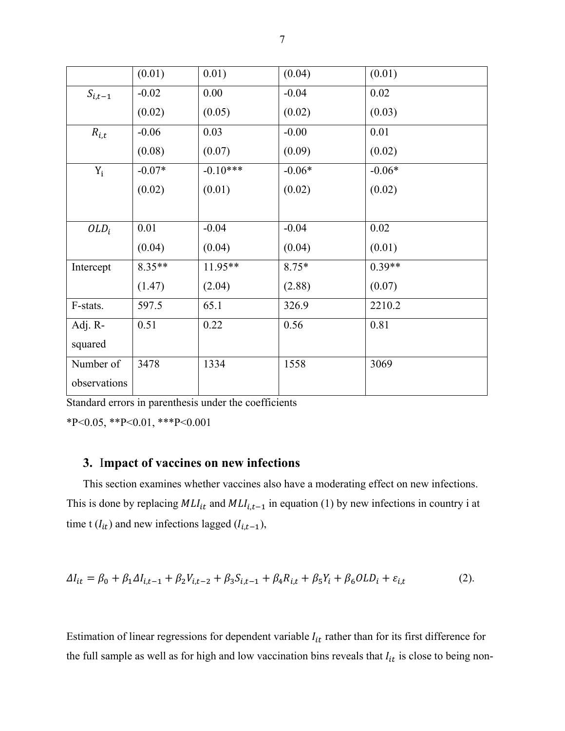|              | (0.01)   | 0.01)      | (0.04)   | (0.01)   |
|--------------|----------|------------|----------|----------|
| $S_{i,t-1}$  | $-0.02$  | 0.00       | $-0.04$  | 0.02     |
|              | (0.02)   | (0.05)     | (0.02)   | (0.03)   |
| $R_{i,t}$    | $-0.06$  | 0.03       | $-0.00$  | 0.01     |
|              | (0.08)   | (0.07)     | (0.09)   | (0.02)   |
| $Y_i$        | $-0.07*$ | $-0.10***$ | $-0.06*$ | $-0.06*$ |
|              | (0.02)   | (0.01)     | (0.02)   | (0.02)   |
|              |          |            |          |          |
| $OLD_i$      | 0.01     | $-0.04$    | $-0.04$  | 0.02     |
|              | (0.04)   | (0.04)     | (0.04)   | (0.01)   |
| Intercept    | 8.35**   | 11.95**    | $8.75*$  | $0.39**$ |
|              | (1.47)   | (2.04)     | (2.88)   | (0.07)   |
| F-stats.     | 597.5    | 65.1       | 326.9    | 2210.2   |
| Adj. R-      | 0.51     | 0.22       | 0.56     | 0.81     |
| squared      |          |            |          |          |
| Number of    | 3478     | 1334       | 1558     | 3069     |
| observations |          |            |          |          |

Standard errors in parenthesis under the coefficients

\*P<0.05, \*\*P<0.01, \*\*\*P<0.001

### **3.** I**mpact of vaccines on new infections**

This section examines whether vaccines also have a moderating effect on new infections. This is done by replacing  $MLI_{it}$  and  $MLI_{i,t-1}$  in equation (1) by new infections in country i at time t ( $I_{it}$ ) and new infections lagged ( $I_{i,t-1}$ ),

$$
\Delta I_{it} = \beta_0 + \beta_1 \Delta I_{i,t-1} + \beta_2 V_{i,t-2} + \beta_3 S_{i,t-1} + \beta_4 R_{i,t} + \beta_5 Y_i + \beta_6 OLD_i + \varepsilon_{i,t} \tag{2}.
$$

Estimation of linear regressions for dependent variable  $I_{it}$  rather than for its first difference for the full sample as well as for high and low vaccination bins reveals that  $I_{it}$  is close to being non-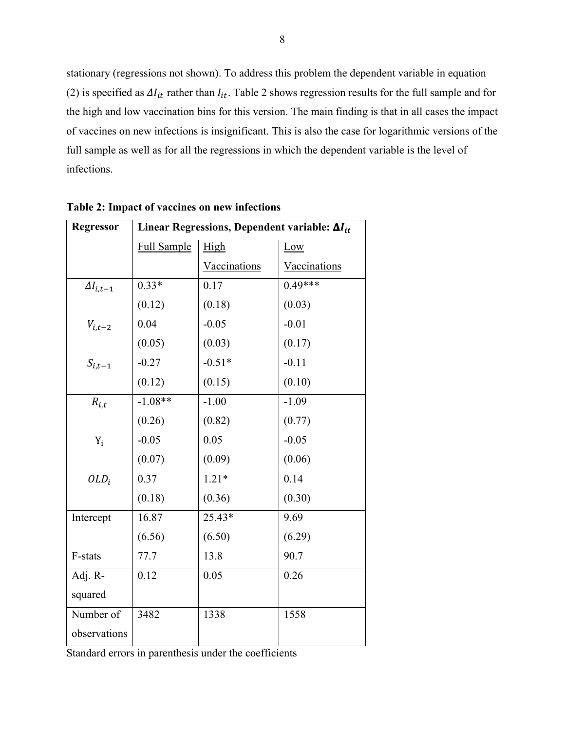stationary (regressions not shown). To address this problem the dependent variable in equation (2) is specified as  $\Delta I_{it}$  rather than  $I_{it}$ . Table 2 shows regression results for the full sample and for the high and low vaccination bins for this version. The main finding is that in all cases the impact of vaccines on new infections is insignificant. This is also the case for logarithmic versions of the full sample as well as for all the regressions in which the dependent variable is the level of infections.

| <b>Regressor</b>   |                    | Linear Regressions, Dependent variable: $\Delta I_{it}$ |              |
|--------------------|--------------------|---------------------------------------------------------|--------------|
|                    | <b>Full Sample</b> | High                                                    | Low          |
|                    |                    | Vaccinations                                            | Vaccinations |
| $\Delta I_{i,t-1}$ | $0.33*$            | 0.17                                                    | $0.49***$    |
|                    | (0.12)             | (0.18)                                                  | (0.03)       |
| $V_{i,t-2}$        | 0.04               | $-0.05$                                                 | $-0.01$      |
|                    | (0.05)             | (0.03)                                                  | (0.17)       |
| $S_{i,t-1}$        | $-0.27$            | $-0.51*$                                                | $-0.11$      |
|                    | (0.12)             | (0.15)                                                  | (0.10)       |
| $R_{i,t}$          | $-1.08**$          | $-1.00$                                                 | $-1.09$      |
|                    | (0.26)             | (0.82)                                                  | (0.77)       |
| $Y_i$              | $-0.05$            | 0.05                                                    | $-0.05$      |
|                    | (0.07)             | (0.09)                                                  | (0.06)       |
| $OLD_i$            | 0.37               | $1.21*$                                                 | 0.14         |
|                    | (0.18)             | (0.36)                                                  | (0.30)       |
| Intercept          | 16.87              | $25.43*$                                                | 9.69         |
|                    | (6.56)             | (6.50)                                                  | (6.29)       |
| F-stats            | 77.7               | 13.8                                                    | 90.7         |
| Adj. R-            | 0.12               | 0.05                                                    | 0.26         |
| squared            |                    |                                                         |              |
| Number of          | 3482               | 1338                                                    | 1558         |
| observations       |                    |                                                         |              |

**Table 2: Impact of vaccines on new infections**

Standard errors in parenthesis under the coefficients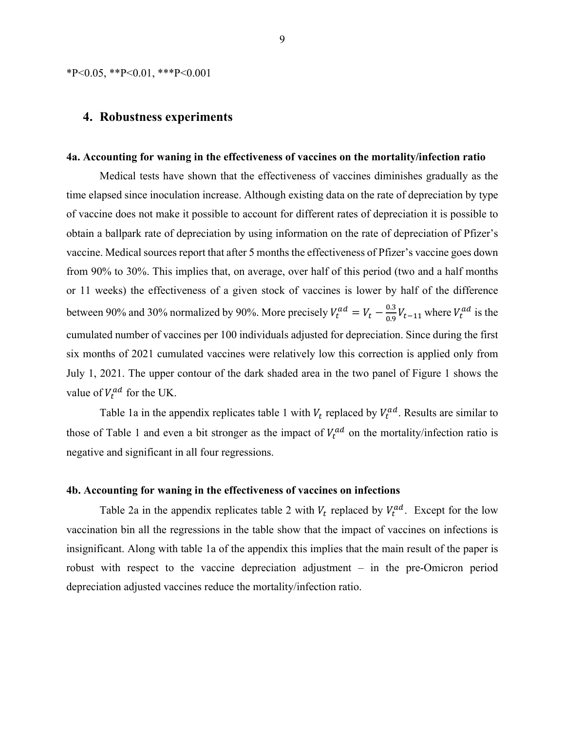$*P<0.05$ ,  $*P<0.01$ ,  $**P<0.001$ 

#### **4. Robustness experiments**

#### **4a. Accounting for waning in the effectiveness of vaccines on the mortality/infection ratio**

Medical tests have shown that the effectiveness of vaccines diminishes gradually as the time elapsed since inoculation increase. Although existing data on the rate of depreciation by type of vaccine does not make it possible to account for different rates of depreciation it is possible to obtain a ballpark rate of depreciation by using information on the rate of depreciation of Pfizer's vaccine. Medical sources report that after 5 months the effectiveness of Pfizer's vaccine goes down from 90% to 30%. This implies that, on average, over half of this period (two and a half months or 11 weeks) the effectiveness of a given stock of vaccines is lower by half of the difference between 90% and 30% normalized by 90%. More precisely  $V_t^{ad} = V_t - \frac{0.3}{0.9} V_{t-11}$  where  $V_t^{ad}$  is the cumulated number of vaccines per 100 individuals adjusted for depreciation. Since during the first six months of 2021 cumulated vaccines were relatively low this correction is applied only from July 1, 2021. The upper contour of the dark shaded area in the two panel of Figure 1 shows the value of  $V_t^{ad}$  for the UK.

Table 1a in the appendix replicates table 1 with  $V_t$  replaced by  $V_t^{ad}$ . Results are similar to those of Table 1 and even a bit stronger as the impact of  $V_t^{ad}$  on the mortality/infection ratio is negative and significant in all four regressions.

#### **4b. Accounting for waning in the effectiveness of vaccines on infections**

Table 2a in the appendix replicates table 2 with  $V_t$  replaced by  $V_t^{ad}$ . Except for the low vaccination bin all the regressions in the table show that the impact of vaccines on infections is insignificant. Along with table 1a of the appendix this implies that the main result of the paper is robust with respect to the vaccine depreciation adjustment – in the pre-Omicron period depreciation adjusted vaccines reduce the mortality/infection ratio.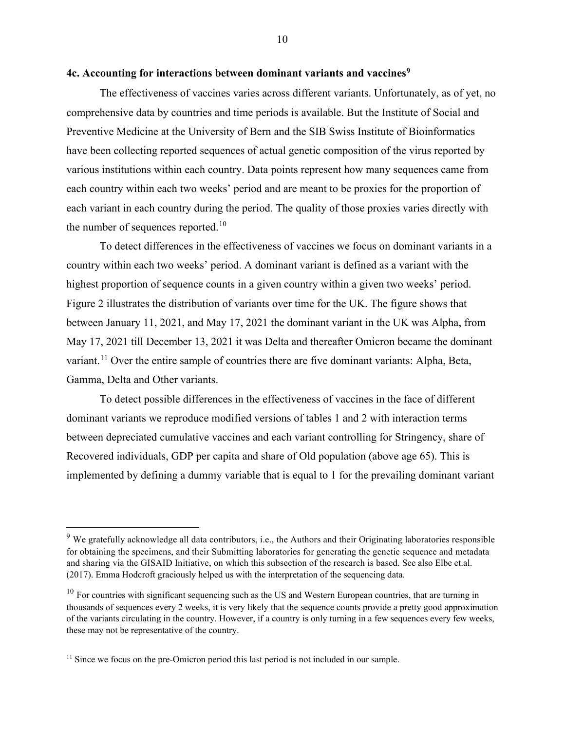#### **4c. Accounting for interactions between dominant variants and vaccines9**

The effectiveness of vaccines varies across different variants. Unfortunately, as of yet, no comprehensive data by countries and time periods is available. But the Institute of Social and Preventive Medicine at the University of Bern and the SIB Swiss Institute of Bioinformatics have been collecting reported sequences of actual genetic composition of the virus reported by various institutions within each country. Data points represent how many sequences came from each country within each two weeks' period and are meant to be proxies for the proportion of each variant in each country during the period. The quality of those proxies varies directly with the number of sequences reported.<sup>10</sup>

To detect differences in the effectiveness of vaccines we focus on dominant variants in a country within each two weeks' period. A dominant variant is defined as a variant with the highest proportion of sequence counts in a given country within a given two weeks' period. Figure 2 illustrates the distribution of variants over time for the UK. The figure shows that between January 11, 2021, and May 17, 2021 the dominant variant in the UK was Alpha, from May 17, 2021 till December 13, 2021 it was Delta and thereafter Omicron became the dominant variant.<sup>11</sup> Over the entire sample of countries there are five dominant variants: Alpha, Beta, Gamma, Delta and Other variants.

To detect possible differences in the effectiveness of vaccines in the face of different dominant variants we reproduce modified versions of tables 1 and 2 with interaction terms between depreciated cumulative vaccines and each variant controlling for Stringency, share of Recovered individuals, GDP per capita and share of Old population (above age 65). This is implemented by defining a dummy variable that is equal to 1 for the prevailing dominant variant

<sup>&</sup>lt;sup>9</sup> We gratefully acknowledge all data contributors, i.e., the Authors and their Originating laboratories responsible for obtaining the specimens, and their Submitting laboratories for generating the genetic sequence and metadata and sharing via the GISAID Initiative, on which this subsection of the research is based. See also Elbe et.al. (2017). Emma Hodcroft graciously helped us with the interpretation of the sequencing data.

 $10$  For countries with significant sequencing such as the US and Western European countries, that are turning in thousands of sequences every 2 weeks, it is very likely that the sequence counts provide a pretty good approximation of the variants circulating in the country. However, if a country is only turning in a few sequences every few weeks, these may not be representative of the country.

<sup>&</sup>lt;sup>11</sup> Since we focus on the pre-Omicron period this last period is not included in our sample.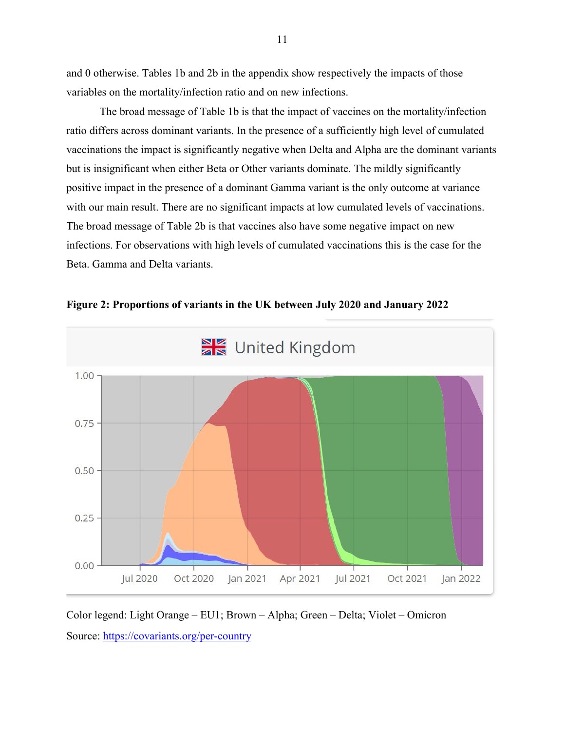and 0 otherwise. Tables 1b and 2b in the appendix show respectively the impacts of those variables on the mortality/infection ratio and on new infections.

The broad message of Table 1b is that the impact of vaccines on the mortality/infection ratio differs across dominant variants. In the presence of a sufficiently high level of cumulated vaccinations the impact is significantly negative when Delta and Alpha are the dominant variants but is insignificant when either Beta or Other variants dominate. The mildly significantly positive impact in the presence of a dominant Gamma variant is the only outcome at variance with our main result. There are no significant impacts at low cumulated levels of vaccinations. The broad message of Table 2b is that vaccines also have some negative impact on new infections. For observations with high levels of cumulated vaccinations this is the case for the Beta. Gamma and Delta variants.



**Figure 2: Proportions of variants in the UK between July 2020 and January 2022**

Color legend: Light Orange – EU1; Brown – Alpha; Green – Delta; Violet – Omicron Source: https://covariants.org/per-country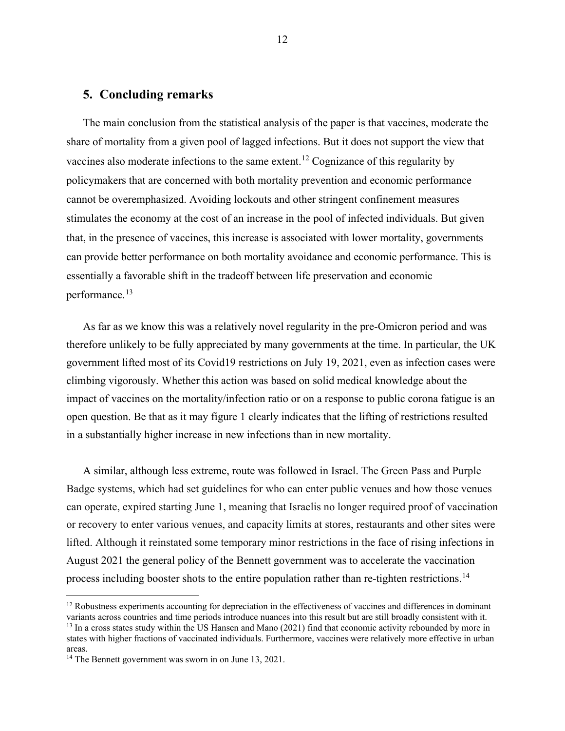#### **5. Concluding remarks**

The main conclusion from the statistical analysis of the paper is that vaccines, moderate the share of mortality from a given pool of lagged infections. But it does not support the view that vaccines also moderate infections to the same extent.<sup>12</sup> Cognizance of this regularity by policymakers that are concerned with both mortality prevention and economic performance cannot be overemphasized. Avoiding lockouts and other stringent confinement measures stimulates the economy at the cost of an increase in the pool of infected individuals. But given that, in the presence of vaccines, this increase is associated with lower mortality, governments can provide better performance on both mortality avoidance and economic performance. This is essentially a favorable shift in the tradeoff between life preservation and economic performance.<sup>13</sup>

As far as we know this was a relatively novel regularity in the pre-Omicron period and was therefore unlikely to be fully appreciated by many governments at the time. In particular, the UK government lifted most of its Covid19 restrictions on July 19, 2021, even as infection cases were climbing vigorously. Whether this action was based on solid medical knowledge about the impact of vaccines on the mortality/infection ratio or on a response to public corona fatigue is an open question. Be that as it may figure 1 clearly indicates that the lifting of restrictions resulted in a substantially higher increase in new infections than in new mortality.

A similar, although less extreme, route was followed in Israel. The Green Pass and Purple Badge systems, which had set guidelines for who can enter public venues and how those venues can operate, expired starting June 1, meaning that Israelis no longer required proof of vaccination or recovery to enter various venues, and capacity limits at stores, restaurants and other sites were lifted. Although it reinstated some temporary minor restrictions in the face of rising infections in August 2021 the general policy of the Bennett government was to accelerate the vaccination process including booster shots to the entire population rather than re-tighten restrictions.<sup>14</sup>

 $12$  Robustness experiments accounting for depreciation in the effectiveness of vaccines and differences in dominant variants across countries and time periods introduce nuances into this result but are still broadly consistent with it. <sup>13</sup> In a cross states study within the US Hansen and Mano (2021) find that economic activity rebounded by more in states with higher fractions of vaccinated individuals. Furthermore, vaccines were relatively more effective in urban areas.

<sup>&</sup>lt;sup>14</sup> The Bennett government was sworn in on June 13, 2021.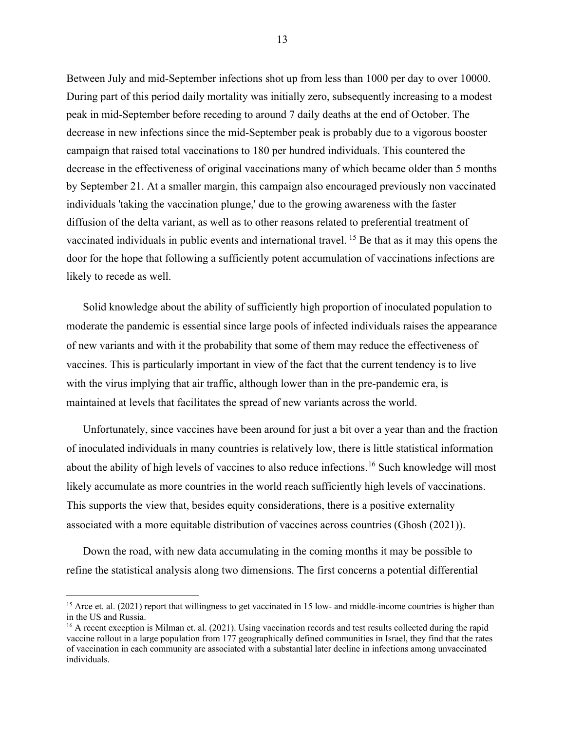Between July and mid-September infections shot up from less than 1000 per day to over 10000. During part of this period daily mortality was initially zero, subsequently increasing to a modest peak in mid-September before receding to around 7 daily deaths at the end of October. The decrease in new infections since the mid-September peak is probably due to a vigorous booster campaign that raised total vaccinations to 180 per hundred individuals. This countered the decrease in the effectiveness of original vaccinations many of which became older than 5 months by September 21. At a smaller margin, this campaign also encouraged previously non vaccinated individuals 'taking the vaccination plunge,' due to the growing awareness with the faster diffusion of the delta variant, as well as to other reasons related to preferential treatment of vaccinated individuals in public events and international travel. <sup>15</sup> Be that as it may this opens the door for the hope that following a sufficiently potent accumulation of vaccinations infections are likely to recede as well.

Solid knowledge about the ability of sufficiently high proportion of inoculated population to moderate the pandemic is essential since large pools of infected individuals raises the appearance of new variants and with it the probability that some of them may reduce the effectiveness of vaccines. This is particularly important in view of the fact that the current tendency is to live with the virus implying that air traffic, although lower than in the pre-pandemic era, is maintained at levels that facilitates the spread of new variants across the world.

Unfortunately, since vaccines have been around for just a bit over a year than and the fraction of inoculated individuals in many countries is relatively low, there is little statistical information about the ability of high levels of vaccines to also reduce infections.<sup>16</sup> Such knowledge will most likely accumulate as more countries in the world reach sufficiently high levels of vaccinations. This supports the view that, besides equity considerations, there is a positive externality associated with a more equitable distribution of vaccines across countries (Ghosh (2021)).

Down the road, with new data accumulating in the coming months it may be possible to refine the statistical analysis along two dimensions. The first concerns a potential differential

<sup>&</sup>lt;sup>15</sup> Arce et. al. (2021) report that willingness to get vaccinated in 15 low- and middle-income countries is higher than in the US and Russia.

<sup>&</sup>lt;sup>16</sup> A recent exception is Milman et. al. (2021). Using vaccination records and test results collected during the rapid vaccine rollout in a large population from 177 geographically defined communities in Israel, they find that the rates of vaccination in each community are associated with a substantial later decline in infections among unvaccinated individuals.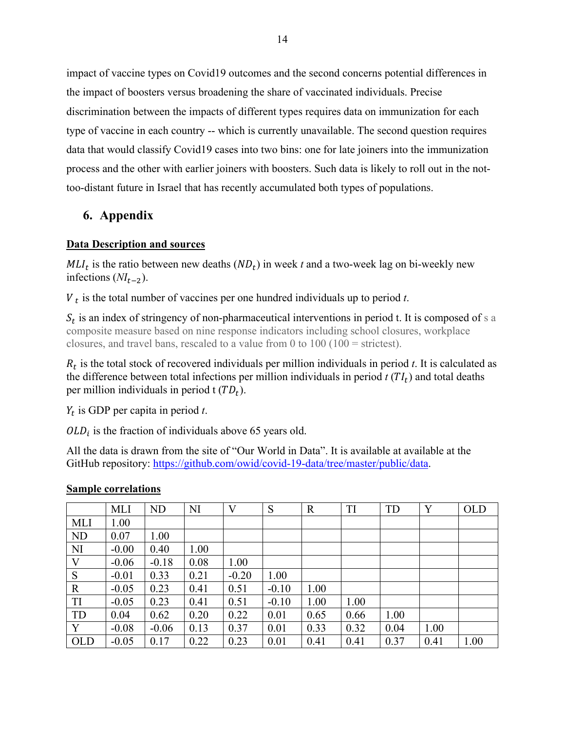impact of vaccine types on Covid19 outcomes and the second concerns potential differences in the impact of boosters versus broadening the share of vaccinated individuals. Precise discrimination between the impacts of different types requires data on immunization for each type of vaccine in each country -- which is currently unavailable. The second question requires data that would classify Covid19 cases into two bins: one for late joiners into the immunization process and the other with earlier joiners with boosters. Such data is likely to roll out in the nottoo-distant future in Israel that has recently accumulated both types of populations.

## **6. Appendix**

### **Data Description and sources**

 $MLI<sub>t</sub>$  is the ratio between new deaths  $(ND<sub>t</sub>)$  in week *t* and a two-week lag on bi-weekly new infections  $(NI_{t-2})$ .

 $V_t$  is the total number of vaccines per one hundred individuals up to period  $t$ .

 $S_t$  is an index of stringency of non-pharmaceutical interventions in period t. It is composed of s a composite measure based on nine response indicators including school closures, workplace closures, and travel bans, rescaled to a value from 0 to 100 (100 = strictest).

 $R_t$  is the total stock of recovered individuals per million individuals in period *t*. It is calculated as the difference between total infections per million individuals in period  $t(TI_t)$  and total deaths per million individuals in period  $t(TD_t)$ .

 $Y_t$  is GDP per capita in period  $t$ .

 $OLD_i$  is the fraction of individuals above 65 years old.

All the data is drawn from the site of "Our World in Data". It is available at available at the GitHub repository: https://github.com/owid/covid-19-data/tree/master/public/data.

|             | <b>MLI</b> | ND      | NI   | V       | S       | $\mathbf R$ | <b>TI</b> | TD   | Y    | <b>OLD</b> |
|-------------|------------|---------|------|---------|---------|-------------|-----------|------|------|------------|
| <b>MLI</b>  | 1.00       |         |      |         |         |             |           |      |      |            |
| <b>ND</b>   | 0.07       | 1.00    |      |         |         |             |           |      |      |            |
| NI          | $-0.00$    | 0.40    | 1.00 |         |         |             |           |      |      |            |
| V           | $-0.06$    | $-0.18$ | 0.08 | 1.00    |         |             |           |      |      |            |
| S           | $-0.01$    | 0.33    | 0.21 | $-0.20$ | 1.00    |             |           |      |      |            |
| $\mathbf R$ | $-0.05$    | 0.23    | 0.41 | 0.51    | $-0.10$ | 1.00        |           |      |      |            |
| TI          | $-0.05$    | 0.23    | 0.41 | 0.51    | $-0.10$ | 1.00        | 1.00      |      |      |            |
| TD          | 0.04       | 0.62    | 0.20 | 0.22    | 0.01    | 0.65        | 0.66      | 1.00 |      |            |
| Y           | $-0.08$    | $-0.06$ | 0.13 | 0.37    | 0.01    | 0.33        | 0.32      | 0.04 | 1.00 |            |
| OLD         | $-0.05$    | 0.17    | 0.22 | 0.23    | 0.01    | 0.41        | 0.41      | 0.37 | 0.41 | 1.00       |

### **Sample correlations**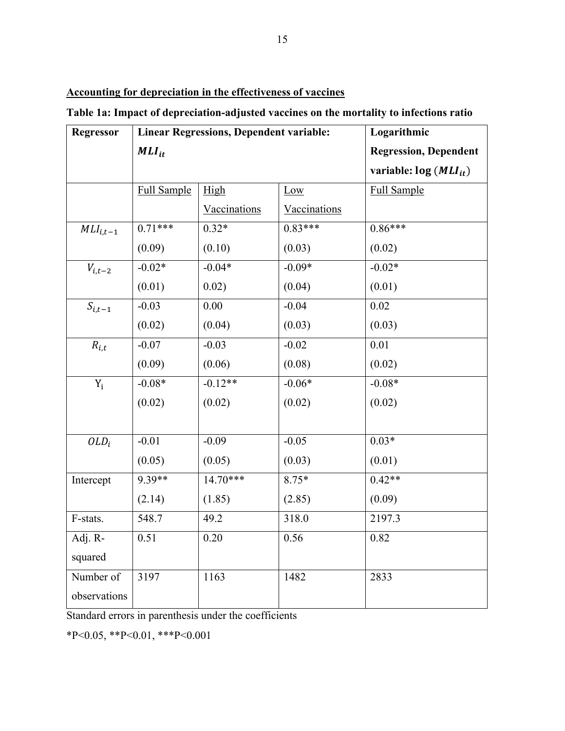**Accounting for depreciation in the effectiveness of vaccines**

**Table 1a: Impact of depreciation-adjusted vaccines on the mortality to infections ratio**

| <b>Regressor</b> | <b>Linear Regressions, Dependent variable:</b> |              |              | Logarithmic                  |
|------------------|------------------------------------------------|--------------|--------------|------------------------------|
|                  | $MLI_{it}$                                     |              |              | <b>Regression, Dependent</b> |
|                  |                                                |              |              | variable: $log (MLI_{it})$   |
|                  | <b>Full Sample</b>                             | High         | Low          | <b>Full Sample</b>           |
|                  |                                                | Vaccinations | Vaccinations |                              |
| $MLI_{i,t-1}$    | $0.71***$                                      | $0.32*$      | $0.83***$    | $0.86***$                    |
|                  | (0.09)                                         | (0.10)       | (0.03)       | (0.02)                       |
| $V_{i,t-2}$      | $-0.02*$                                       | $-0.04*$     | $-0.09*$     | $-0.02*$                     |
|                  | (0.01)                                         | 0.02)        | (0.04)       | (0.01)                       |
| $S_{i,t-1}$      | $-0.03$                                        | $0.00\,$     | $-0.04$      | 0.02                         |
|                  | (0.02)                                         | (0.04)       | (0.03)       | (0.03)                       |
| $R_{i,t}$        | $-0.07$                                        | $-0.03$      | $-0.02$      | 0.01                         |
|                  | (0.09)                                         | (0.06)       | (0.08)       | (0.02)                       |
| $Y_i$            | $-0.08*$                                       | $-0.12**$    | $-0.06*$     | $-0.08*$                     |
|                  | (0.02)                                         | (0.02)       | (0.02)       | (0.02)                       |
|                  |                                                |              |              |                              |
| $OLD_i$          | $-0.01$                                        | $-0.09$      | $-0.05$      | $0.03*$                      |
|                  | (0.05)                                         | (0.05)       | (0.03)       | (0.01)                       |
| Intercept        | 9.39**                                         | $14.70***$   | $8.75*$      | $0.42**$                     |
|                  | (2.14)                                         | (1.85)       | (2.85)       | (0.09)                       |
| F-stats.         | 548.7                                          | 49.2         | 318.0        | 2197.3                       |
| Adj. R-          | 0.51                                           | $0.20\,$     | 0.56         | 0.82                         |
| squared          |                                                |              |              |                              |
| Number of        | 3197                                           | 1163         | 1482         | 2833                         |
| observations     |                                                |              |              |                              |

Standard errors in parenthesis under the coefficients

 $*P<0.05$ ,  $*P<0.01$ ,  $**P<0.001$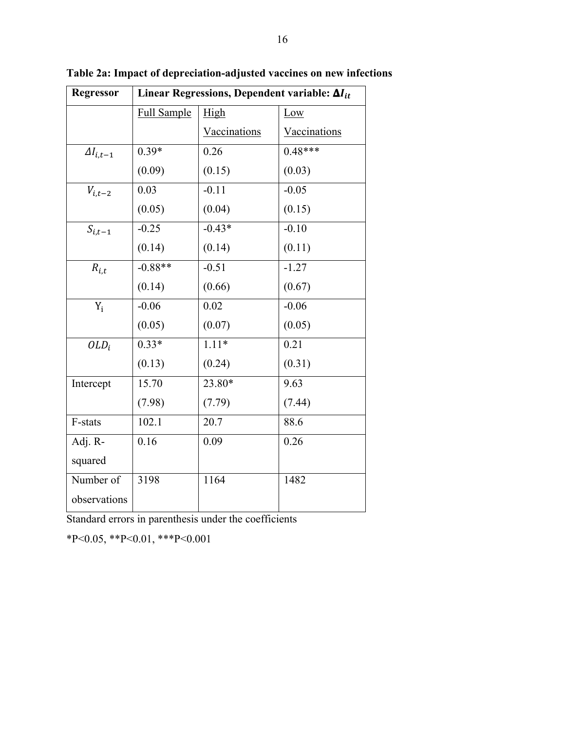| Regressor          | Linear Regressions, Dependent variable: $\Delta I_{it}$ |              |              |  |  |  |
|--------------------|---------------------------------------------------------|--------------|--------------|--|--|--|
|                    | Full Sample                                             | High         | Low          |  |  |  |
|                    |                                                         | Vaccinations | Vaccinations |  |  |  |
| $\Delta I_{i,t-1}$ | $0.39*$                                                 | 0.26         | $0.48***$    |  |  |  |
|                    | (0.09)                                                  | (0.15)       | (0.03)       |  |  |  |
| $V_{i,t-2}$        | 0.03                                                    | $-0.11$      | $-0.05$      |  |  |  |
|                    | (0.05)                                                  | (0.04)       | (0.15)       |  |  |  |
| $S_{i,t-1}$        | $-0.25$                                                 | $-0.43*$     | $-0.10$      |  |  |  |
|                    | (0.14)                                                  | (0.14)       | (0.11)       |  |  |  |
| $R_{i,t}$          | $-0.88**$                                               | $-0.51$      | $-1.27$      |  |  |  |
|                    | (0.14)                                                  | (0.66)       | (0.67)       |  |  |  |
| $Y_i$              | $-0.06$                                                 | 0.02         | $-0.06$      |  |  |  |
|                    | (0.05)                                                  | (0.07)       | (0.05)       |  |  |  |
| $OLD_i$            | $0.33*$                                                 | $1.11*$      | 0.21         |  |  |  |
|                    | (0.13)                                                  | (0.24)       | (0.31)       |  |  |  |
| Intercept          | 15.70                                                   | 23.80*       | 9.63         |  |  |  |
|                    | (7.98)                                                  | (7.79)       | (7.44)       |  |  |  |
| F-stats            | 102.1                                                   | 20.7         | 88.6         |  |  |  |
| Adj. R-            | 0.16                                                    | 0.09         | 0.26         |  |  |  |
| squared            |                                                         |              |              |  |  |  |
| Number of          | 3198                                                    | 1164         | 1482         |  |  |  |
| observations       |                                                         |              |              |  |  |  |

**Table 2a: Impact of depreciation-adjusted vaccines on new infections**

Standard errors in parenthesis under the coefficients

\*P<0.05, \*\*P<0.01, \*\*\*P<0.001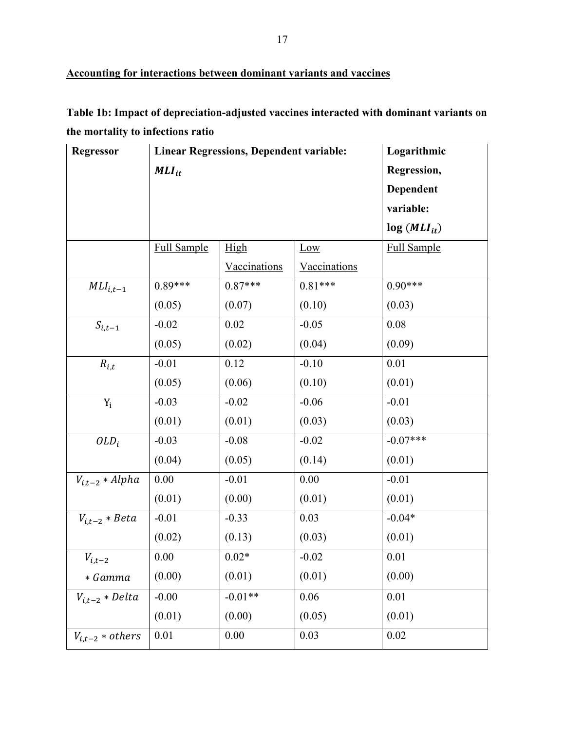**Table 1b: Impact of depreciation-adjusted vaccines interacted with dominant variants on the mortality to infections ratio**

| <b>Regressor</b>     |                    | <b>Linear Regressions, Dependent variable:</b> |              | Logarithmic        |
|----------------------|--------------------|------------------------------------------------|--------------|--------------------|
|                      | $MLI_{it}$         |                                                |              | Regression,        |
|                      |                    |                                                |              | Dependent          |
|                      |                    |                                                |              | variable:          |
|                      |                    |                                                |              | $log (MLI_{it})$   |
|                      | <b>Full Sample</b> | High                                           | Low          | <b>Full Sample</b> |
|                      |                    | Vaccinations                                   | Vaccinations |                    |
| $MLI_{i,t-1}$        | $0.89***$          | $0.87***$                                      | $0.81***$    | $0.90***$          |
|                      | (0.05)             | (0.07)                                         | (0.10)       | (0.03)             |
| $S_{i,t-1}$          | $-0.02$            | 0.02                                           | $-0.05$      | 0.08               |
|                      | (0.05)             | (0.02)                                         | (0.04)       | (0.09)             |
| $R_{i,t}$            | $-0.01$            | 0.12                                           | $-0.10$      | 0.01               |
|                      | (0.05)             | (0.06)                                         | (0.10)       | (0.01)             |
| $Y_i$                | $-0.03$            | $-0.02$                                        | $-0.06$      | $-0.01$            |
|                      | (0.01)             | (0.01)                                         | (0.03)       | (0.03)             |
| $OLD_i$              | $-0.03$            | $-0.08$                                        | $-0.02$      | $-0.07***$         |
|                      | (0.04)             | (0.05)                                         | (0.14)       | (0.01)             |
| $V_{i,t-2} * Alpha$  | 0.00               | $-0.01$                                        | 0.00         | $-0.01$            |
|                      | (0.01)             | (0.00)                                         | (0.01)       | (0.01)             |
| $V_{i,t-2} * Beta$   | $-0.01$            | $-0.33$                                        | 0.03         | $-0.04*$           |
|                      | (0.02)             | (0.13)                                         | (0.03)       | (0.01)             |
| $V_{i,t-2}$          | 0.00               | $0.02*$                                        | $-0.02$      | 0.01               |
| * Gamma              | (0.00)             | (0.01)                                         | (0.01)       | (0.00)             |
| $V_{i,t-2} * Delta$  | $-0.00$            | $-0.01**$                                      | 0.06         | 0.01               |
|                      | (0.01)             | (0.00)                                         | (0.05)       | (0.01)             |
| $V_{i,t-2} * others$ | 0.01               | 0.00                                           | 0.03         | 0.02               |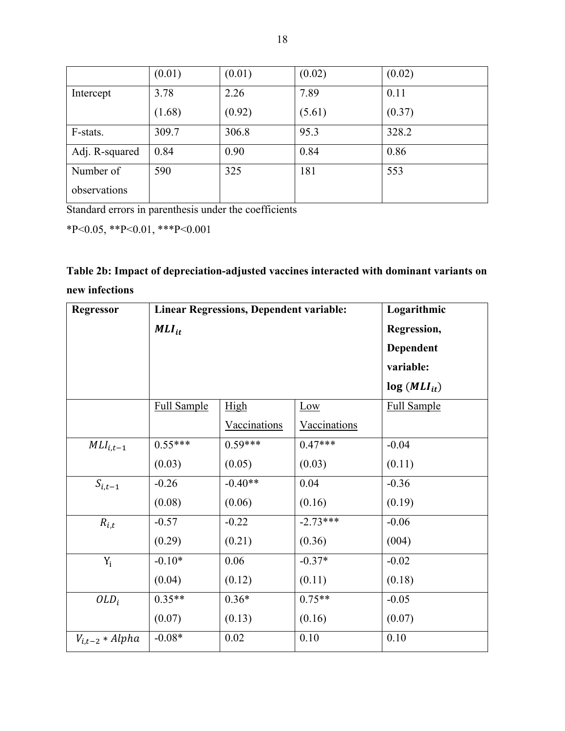|                | (0.01) | (0.01) | (0.02) | (0.02) |
|----------------|--------|--------|--------|--------|
| Intercept      | 3.78   | 2.26   | 7.89   | 0.11   |
|                | (1.68) | (0.92) | (5.61) | (0.37) |
| F-stats.       | 309.7  | 306.8  | 95.3   | 328.2  |
| Adj. R-squared | 0.84   | 0.90   | 0.84   | 0.86   |
| Number of      | 590    | 325    | 181    | 553    |
| observations   |        |        |        |        |

Standard errors in parenthesis under the coefficients

\*P<0.05, \*\*P<0.01, \*\*\*P<0.001

| Table 2b: Impact of depreciation-adjusted vaccines interacted with dominant variants on |  |
|-----------------------------------------------------------------------------------------|--|
| new infections                                                                          |  |

| <b>Regressor</b>    | <b>Linear Regressions, Dependent variable:</b> | Logarithmic  |                     |                    |
|---------------------|------------------------------------------------|--------------|---------------------|--------------------|
|                     | $MLI_{it}$                                     |              |                     | Regression,        |
|                     |                                                |              |                     | Dependent          |
|                     |                                                |              |                     | variable:          |
|                     |                                                |              |                     | $log (MLI_{it})$   |
|                     | <b>Full Sample</b>                             | High         | Low                 | <b>Full Sample</b> |
|                     |                                                | Vaccinations | <b>Vaccinations</b> |                    |
| $MLI_{i,t-1}$       | $0.55***$                                      | $0.59***$    | $0.47***$           | $-0.04$            |
|                     | (0.03)                                         | (0.05)       | (0.03)              | (0.11)             |
| $S_{i,t-1}$         | $-0.26$                                        | $-0.40**$    | 0.04                | $-0.36$            |
|                     | (0.08)                                         | (0.06)       | (0.16)              | (0.19)             |
| $R_{i,t}$           | $-0.57$                                        | $-0.22$      | $-2.73***$          | $-0.06$            |
|                     | (0.29)                                         | (0.21)       | (0.36)              | (004)              |
| $Y_i$               | $-0.10*$                                       | 0.06         | $-0.37*$            | $-0.02$            |
|                     | (0.04)                                         | (0.12)       | (0.11)              | (0.18)             |
| $OLD_i$             | $0.35**$                                       | $0.36*$      | $0.75**$            | $-0.05$            |
|                     | (0.07)                                         | (0.13)       | (0.16)              | (0.07)             |
| $V_{i,t-2} * Alpha$ | $-0.08*$                                       | 0.02         | 0.10                | 0.10               |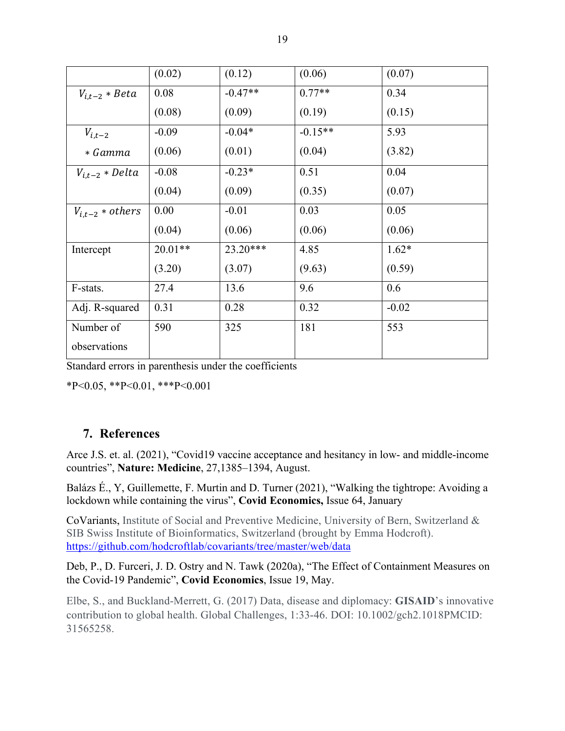|                      | (0.02)    | (0.12)     | (0.06)    | (0.07)  |
|----------------------|-----------|------------|-----------|---------|
| $V_{i.t-2} * Beta$   | 0.08      | $-0.47**$  | $0.77**$  | 0.34    |
|                      | (0.08)    | (0.09)     | (0.19)    | (0.15)  |
| $V_{i,t-2}$          | $-0.09$   | $-0.04*$   | $-0.15**$ | 5.93    |
| * Gamma              | (0.06)    | (0.01)     | (0.04)    | (3.82)  |
| $V_{i,t-2} * Delta$  | $-0.08$   | $-0.23*$   | 0.51      | 0.04    |
|                      | (0.04)    | (0.09)     | (0.35)    | (0.07)  |
| $V_{i.t-2} * others$ | 0.00      | $-0.01$    | 0.03      | 0.05    |
|                      | (0.04)    | (0.06)     | (0.06)    | (0.06)  |
| Intercept            | $20.01**$ | $23.20***$ | 4.85      | $1.62*$ |
|                      | (3.20)    | (3.07)     | (9.63)    | (0.59)  |
| F-stats.             | 27.4      | 13.6       | 9.6       | 0.6     |
| Adj. R-squared       | 0.31      | 0.28       | 0.32      | $-0.02$ |
| Number of            | 590       | 325        | 181       | 553     |
| observations         |           |            |           |         |

Standard errors in parenthesis under the coefficients

\*P<0.05, \*\*P<0.01, \*\*\*P<0.001

## **7. References**

Arce J.S. et. al. (2021), "Covid19 vaccine acceptance and hesitancy in low- and middle-income countries", **Nature: Medicine**, 27,1385–1394, August.

Balázs É., Y, Guillemette, F. Murtin and D. Turner (2021), "Walking the tightrope: Avoiding a lockdown while containing the virus", **Covid Economics,** Issue 64, January

CoVariants, Institute of Social and Preventive Medicine, University of Bern, Switzerland & SIB Swiss Institute of Bioinformatics, Switzerland (brought by Emma Hodcroft). https://github.com/hodcroftlab/covariants/tree/master/web/data

Deb, P., D. Furceri, J. D. Ostry and N. Tawk (2020a), "The Effect of Containment Measures on the Covid-19 Pandemic", **Covid Economics**, Issue 19, May.

Elbe, S., and Buckland-Merrett, G. (2017) Data, disease and diplomacy: **GISAID**'s innovative contribution to global health. Global Challenges, 1:33-46. DOI: 10.1002/gch2.1018PMCID: 31565258.